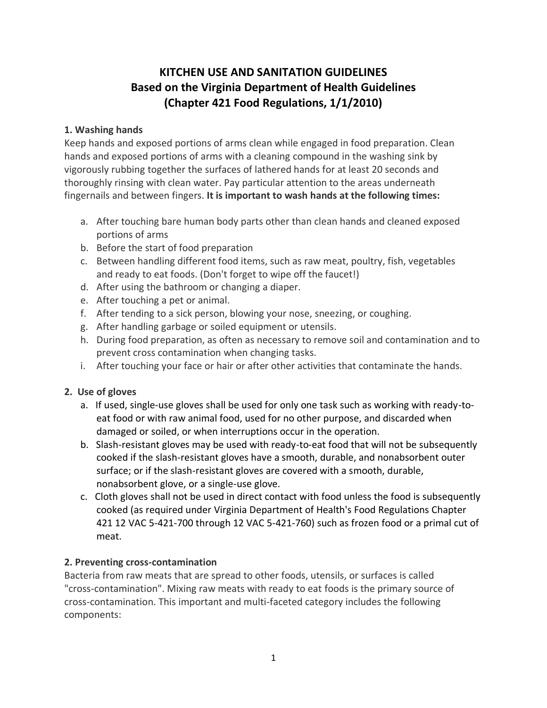# **KITCHEN USE AND SANITATION GUIDELINES Based on the Virginia Department of Health Guidelines (Chapter 421 Food Regulations, 1/1/2010)**

# **1. Washing hands**

Keep hands and exposed portions of arms clean while engaged in food preparation. Clean hands and exposed portions of arms with a cleaning compound in the washing sink by vigorously rubbing together the surfaces of lathered hands for at least 20 seconds and thoroughly rinsing with clean water. Pay particular attention to the areas underneath fingernails and between fingers. **It is important to wash hands at the following times:**

- a. After touching bare human body parts other than clean hands and cleaned exposed portions of arms
- b. Before the start of food preparation
- c. Between handling different food items, such as raw meat, poultry, fish, vegetables and ready to eat foods. (Don't forget to wipe off the faucet!)
- d. After using the bathroom or changing a diaper.
- e. After touching a pet or animal.
- f. After tending to a sick person, blowing your nose, sneezing, or coughing.
- g. After handling garbage or soiled equipment or utensils.
- h. During food preparation, as often as necessary to remove soil and contamination and to prevent cross contamination when changing tasks.
- i. After touching your face or hair or after other activities that contaminate the hands.

### **2. Use of gloves**

- a. If used, single-use gloves shall be used for only one task such as working with ready-toeat food or with raw animal food, used for no other purpose, and discarded when damaged or soiled, or when interruptions occur in the operation.
- b. Slash-resistant gloves may be used with ready-to-eat food that will not be subsequently cooked if the slash-resistant gloves have a smooth, durable, and nonabsorbent outer surface; or if the slash-resistant gloves are covered with a smooth, durable, nonabsorbent glove, or a single-use glove.
- c. Cloth gloves shall not be used in direct contact with food unless the food is subsequently cooked (as required under Virginia Department of Health's Food Regulations Chapter 421 12 VAC 5-421-700 through 12 VAC 5-421-760) such as frozen food or a primal cut of meat.

### **2. Preventing cross-contamination**

Bacteria from raw meats that are spread to other foods, utensils, or surfaces is called "cross-contamination". Mixing raw meats with ready to eat foods is the primary source of cross-contamination. This important and multi-faceted category includes the following components: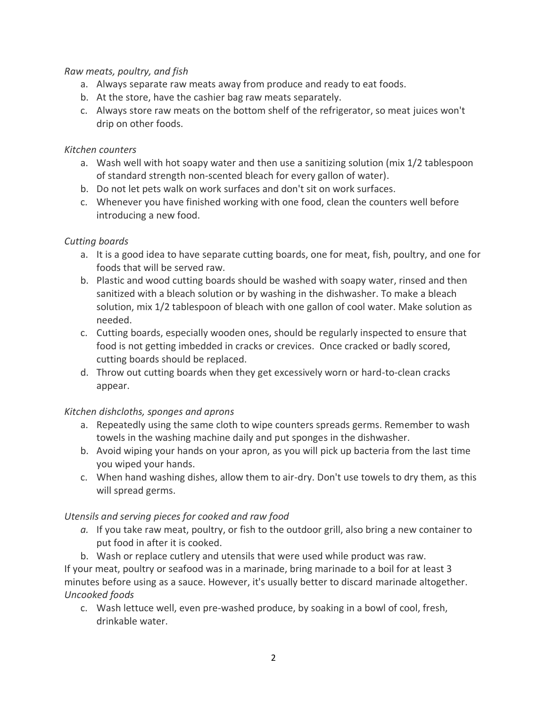#### *Raw meats, poultry, and fish*

- a. Always separate raw meats away from produce and ready to eat foods.
- b. At the store, have the cashier bag raw meats separately.
- c. Always store raw meats on the bottom shelf of the refrigerator, so meat juices won't drip on other foods.

#### *Kitchen counters*

- a. Wash well with hot soapy water and then use a sanitizing solution (mix 1/2 tablespoon of standard strength non-scented bleach for every gallon of water).
- b. Do not let pets walk on work surfaces and don't sit on work surfaces.
- c. Whenever you have finished working with one food, clean the counters well before introducing a new food.

### *Cutting boards*

- a. It is a good idea to have separate cutting boards, one for meat, fish, poultry, and one for foods that will be served raw.
- b. Plastic and wood cutting boards should be washed with soapy water, rinsed and then sanitized with a bleach solution or by washing in the dishwasher. To make a bleach solution, mix 1/2 tablespoon of bleach with one gallon of cool water. Make solution as needed.
- c. Cutting boards, especially wooden ones, should be regularly inspected to ensure that food is not getting imbedded in cracks or crevices. Once cracked or badly scored, cutting boards should be replaced.
- d. Throw out cutting boards when they get excessively worn or hard-to-clean cracks appear.

### *Kitchen dishcloths, sponges and aprons*

- a. Repeatedly using the same cloth to wipe counters spreads germs. Remember to wash towels in the washing machine daily and put sponges in the dishwasher.
- b. Avoid wiping your hands on your apron, as you will pick up bacteria from the last time you wiped your hands.
- c. When hand washing dishes, allow them to air-dry. Don't use towels to dry them, as this will spread germs.

### *Utensils and serving pieces for cooked and raw food*

- *a.* If you take raw meat, poultry, or fish to the outdoor grill, also bring a new container to put food in after it is cooked.
- b. Wash or replace cutlery and utensils that were used while product was raw.

If your meat, poultry or seafood was in a marinade, bring marinade to a boil for at least 3 minutes before using as a sauce. However, it's usually better to discard marinade altogether. *Uncooked foods*

c. Wash lettuce well, even pre-washed produce, by soaking in a bowl of cool, fresh, drinkable water.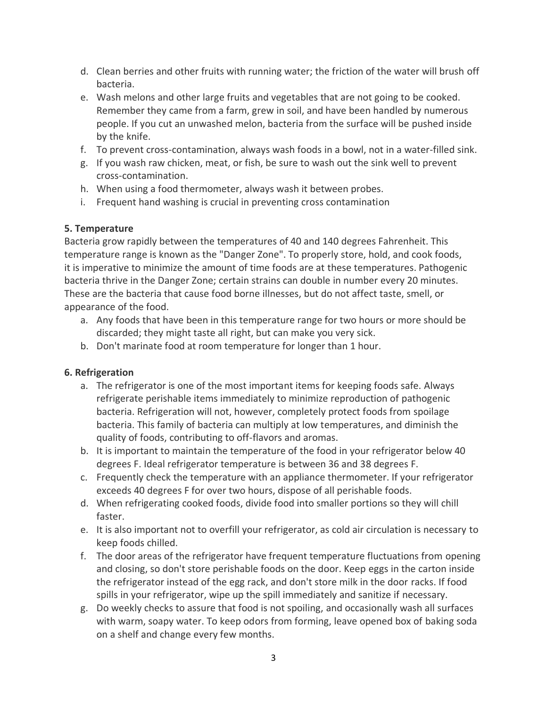- d. Clean berries and other fruits with running water; the friction of the water will brush off bacteria.
- e. Wash melons and other large fruits and vegetables that are not going to be cooked. Remember they came from a farm, grew in soil, and have been handled by numerous people. If you cut an unwashed melon, bacteria from the surface will be pushed inside by the knife.
- f. To prevent cross-contamination, always wash foods in a bowl, not in a water-filled sink.
- g. If you wash raw chicken, meat, or fish, be sure to wash out the sink well to prevent cross-contamination.
- h. When using a food thermometer, always wash it between probes.
- i. Frequent hand washing is crucial in preventing cross contamination

# **5. Temperature**

Bacteria grow rapidly between the temperatures of 40 and 140 degrees Fahrenheit. This temperature range is known as the "Danger Zone". To properly store, hold, and cook foods, it is imperative to minimize the amount of time foods are at these temperatures. Pathogenic bacteria thrive in the Danger Zone; certain strains can double in number every 20 minutes. These are the bacteria that cause food borne illnesses, but do not affect taste, smell, or appearance of the food.

- a. Any foods that have been in this temperature range for two hours or more should be discarded; they might taste all right, but can make you very sick.
- b. Don't marinate food at room temperature for longer than 1 hour.

# **6. Refrigeration**

- a. The refrigerator is one of the most important items for keeping foods safe. Always refrigerate perishable items immediately to minimize reproduction of pathogenic bacteria. Refrigeration will not, however, completely protect foods from spoilage bacteria. This family of bacteria can multiply at low temperatures, and diminish the quality of foods, contributing to off-flavors and aromas.
- b. It is important to maintain the temperature of the food in your refrigerator below 40 degrees F. Ideal refrigerator temperature is between 36 and 38 degrees F.
- c. Frequently check the temperature with an appliance thermometer. If your refrigerator exceeds 40 degrees F for over two hours, dispose of all perishable foods.
- d. When refrigerating cooked foods, divide food into smaller portions so they will chill faster.
- e. It is also important not to overfill your refrigerator, as cold air circulation is necessary to keep foods chilled.
- f. The door areas of the refrigerator have frequent temperature fluctuations from opening and closing, so don't store perishable foods on the door. Keep eggs in the carton inside the refrigerator instead of the egg rack, and don't store milk in the door racks. If food spills in your refrigerator, wipe up the spill immediately and sanitize if necessary.
- g. Do weekly checks to assure that food is not spoiling, and occasionally wash all surfaces with warm, soapy water. To keep odors from forming, leave opened box of baking soda on a shelf and change every few months.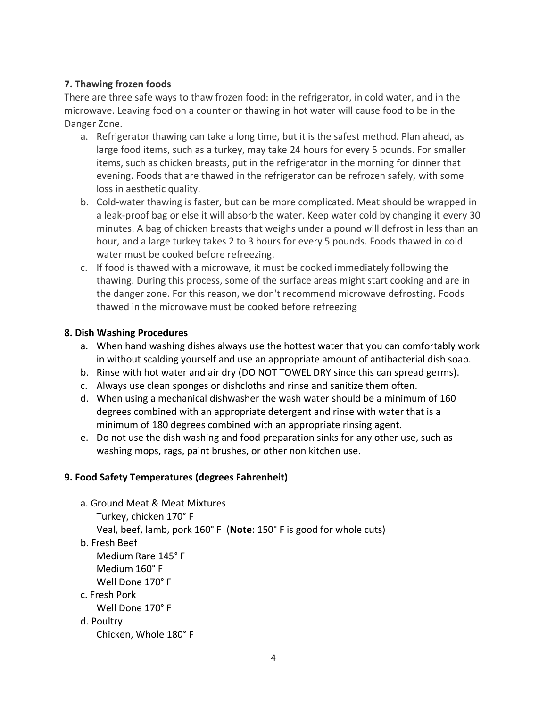### **7. Thawing frozen foods**

There are three safe ways to thaw frozen food: in the refrigerator, in cold water, and in the microwave. Leaving food on a counter or thawing in hot water will cause food to be in the Danger Zone.

- a. Refrigerator thawing can take a long time, but it is the safest method. Plan ahead, as large food items, such as a turkey, may take 24 hours for every 5 pounds. For smaller items, such as chicken breasts, put in the refrigerator in the morning for dinner that evening. Foods that are thawed in the refrigerator can be refrozen safely, with some loss in aesthetic quality.
- b. Cold-water thawing is faster, but can be more complicated. Meat should be wrapped in a leak-proof bag or else it will absorb the water. Keep water cold by changing it every 30 minutes. A bag of chicken breasts that weighs under a pound will defrost in less than an hour, and a large turkey takes 2 to 3 hours for every 5 pounds. Foods thawed in cold water must be cooked before refreezing.
- c. If food is thawed with a microwave, it must be cooked immediately following the thawing. During this process, some of the surface areas might start cooking and are in the danger zone. For this reason, we don't recommend microwave defrosting. Foods thawed in the microwave must be cooked before refreezing

#### **8. Dish Washing Procedures**

- a. When hand washing dishes always use the hottest water that you can comfortably work in without scalding yourself and use an appropriate amount of antibacterial dish soap.
- b. Rinse with hot water and air dry (DO NOT TOWEL DRY since this can spread germs).
- c. Always use clean sponges or dishcloths and rinse and sanitize them often.
- d. When using a mechanical dishwasher the wash water should be a minimum of 160 degrees combined with an appropriate detergent and rinse with water that is a minimum of 180 degrees combined with an appropriate rinsing agent.
- e. Do not use the dish washing and food preparation sinks for any other use, such as washing mops, rags, paint brushes, or other non kitchen use.

### **9. Food Safety Temperatures (degrees Fahrenheit)**

- a. Ground Meat & Meat Mixtures Turkey, chicken 170° F Veal, beef, lamb, pork 160° F (**Note**: 150° F is good for whole cuts) b. Fresh Beef Medium Rare 145° F Medium 160° F Well Done 170° F c. Fresh Pork Well Done 170° F d. Poultry
	- Chicken, Whole 180° F